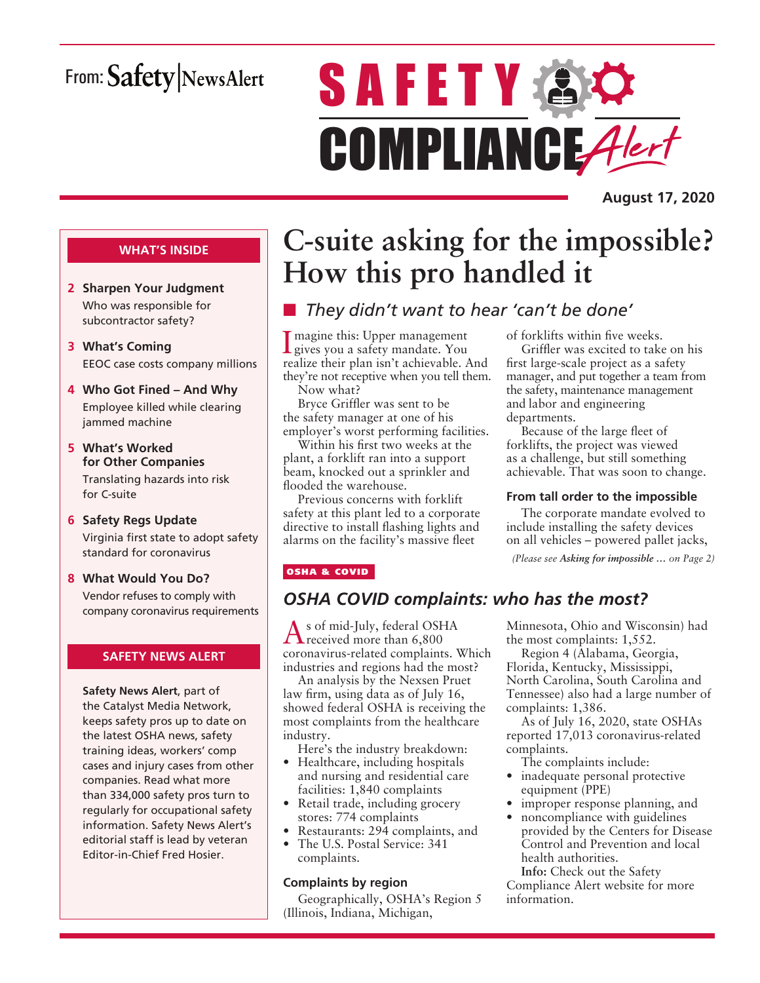# From: Safety NewsAlert

# **SAFETY AC** COMPLIANCE Alert

**August 17, 2020**

### **WHAT'S INSIDE**

- **2 Sharpen Your Judgment** Who was responsible for subcontractor safety?
- **3 What's Coming** EEOC case costs company millions
- **4 Who Got Fined And Why** Employee killed while clearing jammed machine
- **5 What's Worked for Other Companies** Translating hazards into risk for C-suite
- **6 Safety Regs Update** Virginia first state to adopt safety standard for coronavirus
- **8 What Would You Do?**

Vendor refuses to comply with company coronavirus requirements

### **SAFETY NEWS ALERT**

**Safety News Alert**, part of the Catalyst Media Network, keeps safety pros up to date on the latest OSHA news, safety training ideas, workers' comp cases and injury cases from other companies. Read what more than 334,000 safety pros turn to regularly for occupational safety information. Safety News Alert's editorial staff is lead by veteran Editor-in-Chief Fred Hosier.

# **C-suite asking for the impossible? How this pro handled it**

# ■ *They didn't want to hear 'can't be done'*

I gives you a safety mandate. You magine this: Upper management realize their plan isn't achievable. And they're not receptive when you tell them.

Now what? Bryce Griffler was sent to be the safety manager at one of his

employer's worst performing facilities. Within his first two weeks at the plant, a forklift ran into a support beam, knocked out a sprinkler and flooded the warehouse.

Previous concerns with forklift safety at this plant led to a corporate directive to install flashing lights and alarms on the facility's massive fleet

# of forklifts within five weeks.

Griffler was excited to take on his first large-scale project as a safety manager, and put together a team from the safety, maintenance management and labor and engineering departments.

Because of the large fleet of forklifts, the project was viewed as a challenge, but still something achievable. That was soon to change.

### **From tall order to the impossible**

The corporate mandate evolved to include installing the safety devices on all vehicles – powered pallet jacks,

*(Please see Asking for impossible … on Page 2)*

### OSHA & COVID

### *OSHA COVID complaints: who has the most?*

As of mid-July, federal OSHA received more than 6,800 coronavirus-related complaints. Which industries and regions had the most?

An analysis by the Nexsen Pruet law firm, using data as of July 16, showed federal OSHA is receiving the most complaints from the healthcare industry.

Here's the industry breakdown:

- Healthcare, including hospitals and nursing and residential care facilities: 1,840 complaints
- Retail trade, including grocery stores: 774 complaints
- Restaurants: 294 complaints, and • The U.S. Postal Service: 341
- complaints.

### **Complaints by region**

Geographically, OSHA's Region 5 (Illinois, Indiana, Michigan,

Minnesota, Ohio and Wisconsin) had the most complaints: 1,552.

Region 4 (Alabama, Georgia, Florida, Kentucky, Mississippi, North Carolina, South Carolina and Tennessee) also had a large number of complaints: 1,386.

As of July 16, 2020, state OSHAs reported 17,013 coronavirus-related complaints.

The complaints include:

- inadequate personal protective equipment (PPE)
- improper response planning, and
- noncompliance with guidelines provided by the Centers for Disease Control and Prevention and local health authorities.

**Info:** Check out the Safety Compliance Alert website for more information.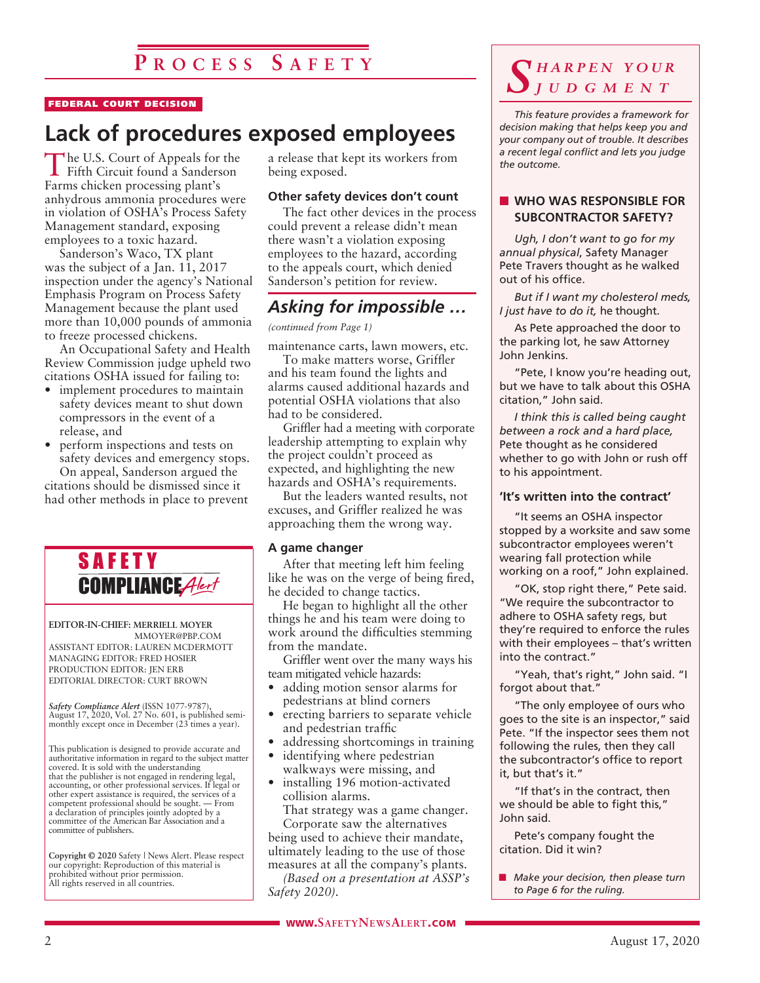# **P r o c e s s S a f e t y**

#### FEDERAL COURT DECISION

# **Lack of procedures exposed employees**

The U.S. Court of Appeals for the Fifth Circuit found a Sanderson Farms chicken processing plant's anhydrous ammonia procedures were in violation of OSHA's Process Safety Management standard, exposing employees to a toxic hazard.

Sanderson's Waco, TX plant was the subject of a Jan. 11, 2017 inspection under the agency's National Emphasis Program on Process Safety Management because the plant used more than 10,000 pounds of ammonia to freeze processed chickens.

An Occupational Safety and Health Review Commission judge upheld two citations OSHA issued for failing to:

- implement procedures to maintain safety devices meant to shut down compressors in the event of a release, and
- perform inspections and tests on safety devices and emergency stops. On appeal, Sanderson argued the

citations should be dismissed since it had other methods in place to prevent



**EDITOR-IN-CHIEF: MERRIELL MOYER** MMOYER@PBP.COM

ASSISTANT EDITOR: LAUREN MCDERMOTT MANAGING EDITOR: FRED HOSIER PRODUCTION EDITOR: JEN ERB EDITORIAL DIRECTOR: CURT BROWN

*Safety Compliance Alert* (ISSN 1077-9787), August 17, 2020, Vol. 27 No. 601, is published semimagast 17, 2020, vol. 27 110. 601, is parameter semi-<br>monthly except once in December (23 times a year).

This publication is designed to provide accurate and authoritative information in regard to the subject matter covered. It is sold with the understanding that the publisher is not engaged in rendering legal, accounting, or other professional services. If legal or other expert assistance is required, the services of a competent professional should be sought. — From a declaration of principles jointly adopted by a committee of the American Bar Association and a committee of publishers.

**Copyright © 2020** Safety | News Alert. Please respect our copyright: Reproduction of this material is prohibited without prior permission. All rights reserved in all countries.

a release that kept its workers from being exposed.

### **Other safety devices don't count**

The fact other devices in the process could prevent a release didn't mean there wasn't a violation exposing employees to the hazard, according to the appeals court, which denied Sanderson's petition for review.

### *Asking for impossible …*

### *(continued from Page 1)*

maintenance carts, lawn mowers, etc.

To make matters worse, Griffler and his team found the lights and alarms caused additional hazards and potential OSHA violations that also had to be considered.

Griffler had a meeting with corporate leadership attempting to explain why the project couldn't proceed as expected, and highlighting the new hazards and OSHA's requirements.

But the leaders wanted results, not excuses, and Griffler realized he was approaching them the wrong way.

#### **A game changer**

After that meeting left him feeling like he was on the verge of being fired, he decided to change tactics.

He began to highlight all the other things he and his team were doing to work around the difficulties stemming from the mandate.

Griffler went over the many ways his team mitigated vehicle hazards:

- adding motion sensor alarms for pedestrians at blind corners
- erecting barriers to separate vehicle and pedestrian traffic
- addressing shortcomings in training
- identifying where pedestrian walkways were missing, and
- installing 196 motion-activated collision alarms.

That strategy was a game changer. Corporate saw the alternatives

being used to achieve their mandate, ultimately leading to the use of those measures at all the company's plants.

*(Based on a presentation at ASSP's Safety 2020).*

### *S h a r p e n y o u r j u d g m e n t*

*This feature provides a framework for decision making that helps keep you and your company out of trouble. It describes a recent legal conflict and lets you judge the outcome.*

### **NO WAS RESPONSIBLE FOR SUBCONTRACTOR SAFETY?**

*Ugh, I don't want to go for my annual physical*, Safety Manager Pete Travers thought as he walked out of his office.

*But if I want my cholesterol meds, I just have to do it,* he thought.

As Pete approached the door to the parking lot, he saw Attorney John Jenkins.

"Pete, I know you're heading out, but we have to talk about this OSHA citation," John said.

*I think this is called being caught between a rock and a hard place,* Pete thought as he considered whether to go with John or rush off to his appointment.

### **'It's written into the contract'**

"It seems an OSHA inspector stopped by a worksite and saw some subcontractor employees weren't wearing fall protection while working on a roof," John explained.

"OK, stop right there," Pete said. "We require the subcontractor to adhere to OSHA safety regs, but they're required to enforce the rules with their employees – that's written into the contract."

"Yeah, that's right," John said. "I forgot about that."

"The only employee of ours who goes to the site is an inspector," said Pete. "If the inspector sees them not following the rules, then they call the subcontractor's office to report it, but that's it."

"If that's in the contract, then we should be able to fight this," John said.

Pete's company fought the citation. Did it win?

■ *Make your decision, then please turn to Page 6 for the ruling.*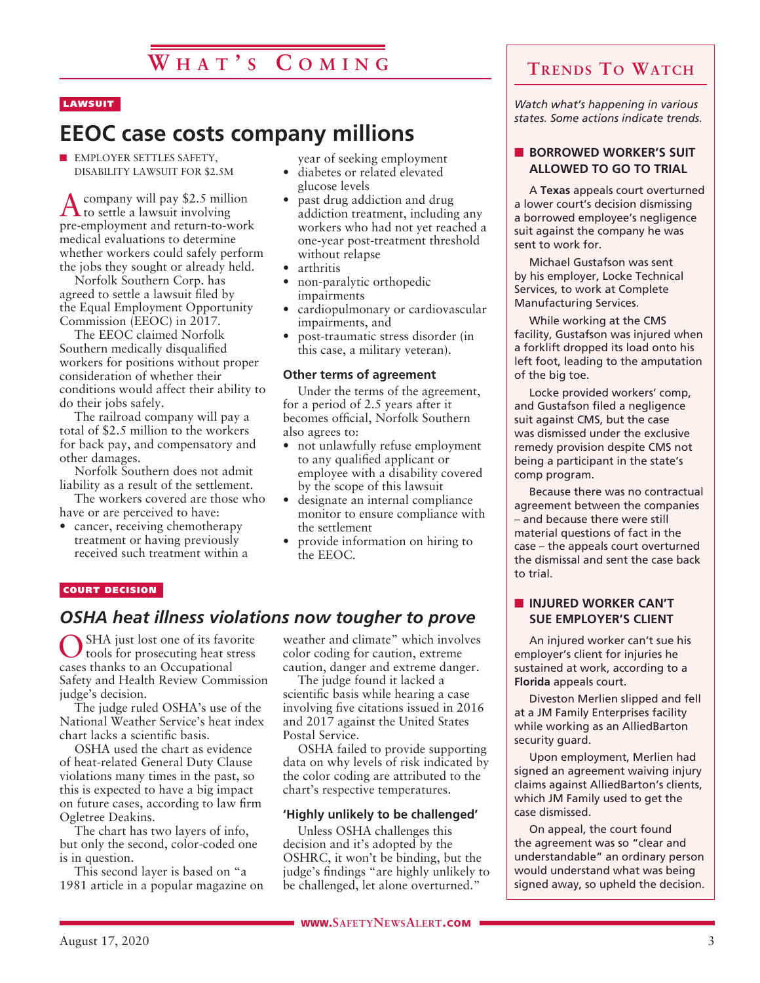### LAWSUIT

# **EEOC case costs company millions**

**N EMPLOYER SETTLES SAFETY,** DISABILITY LAWSUIT FOR \$2.5M

 $\Lambda$  company will pay \$2.5 million<br>to settle a lawsuit involving pre-employment and return-to-work medical evaluations to determine whether workers could safely perform the jobs they sought or already held.

Norfolk Southern Corp. has agreed to settle a lawsuit filed by the Equal Employment Opportunity Commission (EEOC) in 2017.

The EEOC claimed Norfolk Southern medically disqualified workers for positions without proper consideration of whether their conditions would affect their ability to do their jobs safely.

The railroad company will pay a total of \$2.5 million to the workers for back pay, and compensatory and other damages.

Norfolk Southern does not admit liability as a result of the settlement.

The workers covered are those who have or are perceived to have:

• cancer, receiving chemotherapy treatment or having previously received such treatment within a year of seeking employment

- diabetes or related elevated glucose levels
- past drug addiction and drug addiction treatment, including any workers who had not yet reached a one-year post-treatment threshold without relapse
- arthritis
- non-paralytic orthopedic impairments
- cardiopulmonary or cardiovascular impairments, and
- post-traumatic stress disorder (in this case, a military veteran).

### **Other terms of agreement**

Under the terms of the agreement, for a period of 2.5 years after it becomes official, Norfolk Southern also agrees to:

- not unlawfully refuse employment to any qualified applicant or employee with a disability covered by the scope of this lawsuit
- designate an internal compliance monitor to ensure compliance with the settlement
- provide information on hiring to the EEOC.

### COURT DECISION

### *OSHA heat illness violations now tougher to prove*

SHA just lost one of its favorite tools for prosecuting heat stress cases thanks to an Occupational Safety and Health Review Commission judge's decision.

The judge ruled OSHA's use of the National Weather Service's heat index chart lacks a scientific basis.

OSHA used the chart as evidence of heat-related General Duty Clause violations many times in the past, so this is expected to have a big impact on future cases, according to law firm Ogletree Deakins.

The chart has two layers of info, but only the second, color-coded one is in question.

This second layer is based on "a 1981 article in a popular magazine on weather and climate" which involves color coding for caution, extreme caution, danger and extreme danger.

The judge found it lacked a scientific basis while hearing a case involving five citations issued in 2016 and 2017 against the United States Postal Service.

OSHA failed to provide supporting data on why levels of risk indicated by the color coding are attributed to the chart's respective temperatures.

### **'Highly unlikely to be challenged'**

Unless OSHA challenges this decision and it's adopted by the OSHRC, it won't be binding, but the judge's findings "are highly unlikely to be challenged, let alone overturned."

*Watch what's happening in various states. Some actions indicate trends.*

### **BORROWED WORKER'S SUIT ALLOWED TO GO TO TRIAL**

A **Texas** appeals court overturned a lower court's decision dismissing a borrowed employee's negligence suit against the company he was sent to work for.

Michael Gustafson was sent by his employer, Locke Technical Services, to work at Complete Manufacturing Services.

While working at the CMS facility, Gustafson was injured when a forklift dropped its load onto his left foot, leading to the amputation of the big toe.

Locke provided workers' comp, and Gustafson filed a negligence suit against CMS, but the case was dismissed under the exclusive remedy provision despite CMS not being a participant in the state's comp program.

Because there was no contractual agreement between the companies – and because there were still material questions of fact in the case – the appeals court overturned the dismissal and sent the case back to trial.

### **N** INJURED WORKER CAN'T **SUE EMPLOYER'S CLIENT**

An injured worker can't sue his employer's client for injuries he sustained at work, according to a **Florida** appeals court.

Diveston Merlien slipped and fell at a JM Family Enterprises facility while working as an AlliedBarton security guard.

Upon employment, Merlien had signed an agreement waiving injury claims against AlliedBarton's clients, which JM Family used to get the case dismissed.

On appeal, the court found the agreement was so "clear and understandable" an ordinary person would understand what was being signed away, so upheld the decision.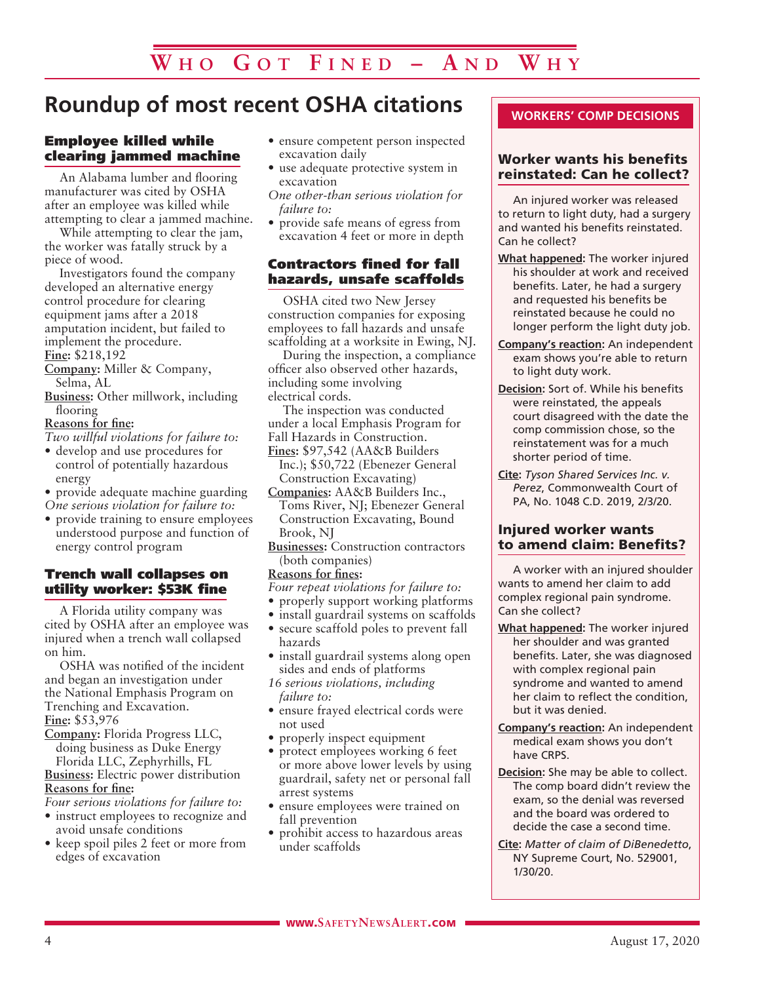# **Roundup of most recent OSHA citations**

### Employee killed while clearing jammed machine

An Alabama lumber and flooring manufacturer was cited by OSHA after an employee was killed while attempting to clear a jammed machine.

While attempting to clear the jam, the worker was fatally struck by a piece of wood.

Investigators found the company developed an alternative energy control procedure for clearing equipment jams after a 2018 amputation incident, but failed to implement the procedure. **Fine:** \$218,192

**Company:** Miller & Company, Selma, AL

**Business:** Other millwork, including flooring

### **Reasons for fine:**

*Two willful violations for failure to:*

- develop and use procedures for control of potentially hazardous energy
- provide adequate machine guarding
- *One serious violation for failure to:*
- provide training to ensure employees understood purpose and function of energy control program

### Trench wall collapses on utility worker: \$53K fine

A Florida utility company was cited by OSHA after an employee was injured when a trench wall collapsed on him.

OSHA was notified of the incident and began an investigation under the National Emphasis Program on Trenching and Excavation. **Fine:** \$53,976

**Company:** Florida Progress LLC, doing business as Duke Energy Florida LLC, Zephyrhills, FL

**Business:** Electric power distribution **Reasons for fine:**

- *Four serious violations for failure to:*
- instruct employees to recognize and avoid unsafe conditions
- keep spoil piles 2 feet or more from edges of excavation
- ensure competent person inspected excavation daily
- use adequate protective system in excavation
- *One other-than serious violation for failure to:*
- provide safe means of egress from excavation 4 feet or more in depth

### Contractors fined for fall hazards, unsafe scaffolds

OSHA cited two New Jersey construction companies for exposing employees to fall hazards and unsafe scaffolding at a worksite in Ewing, NJ.

During the inspection, a compliance officer also observed other hazards, including some involving electrical cords.

The inspection was conducted under a local Emphasis Program for Fall Hazards in Construction. **Fines:** \$97,542 (AA&B Builders

- Inc.); \$50,722 (Ebenezer General Construction Excavating)
- **Companies:** AA&B Builders Inc., Toms River, NJ; Ebenezer General Construction Excavating, Bound Brook, NJ
- **Businesses:** Construction contractors (both companies)

**Reasons for fines:**

- *Four repeat violations for failure to:*
- properly support working platforms
- install guardrail systems on scaffolds
- secure scaffold poles to prevent fall hazards
- install guardrail systems along open sides and ends of platforms

*16 serious violations, including failure to:*

- ensure frayed electrical cords were not used
- properly inspect equipment
- protect employees working 6 feet or more above lower levels by using guardrail, safety net or personal fall arrest systems
- ensure employees were trained on fall prevention
- prohibit access to hazardous areas under scaffolds

### **WORKERS' COMP DECISIONS**

### Worker wants his benefits reinstated: Can he collect?

An injured worker was released to return to light duty, had a surgery and wanted his benefits reinstated. Can he collect?

- **What happened:** The worker injured his shoulder at work and received benefits. Later, he had a surgery and requested his benefits be reinstated because he could no longer perform the light duty job.
- **Company's reaction:** An independent exam shows you're able to return to light duty work.
- **Decision:** Sort of. While his benefits were reinstated, the appeals court disagreed with the date the comp commission chose, so the reinstatement was for a much shorter period of time.
- **Cite:** *Tyson Shared Services Inc. v. Perez*, Commonwealth Court of PA, No. 1048 C.D. 2019, 2/3/20.

### Injured worker wants to amend claim: Benefits?

A worker with an injured shoulder wants to amend her claim to add complex regional pain syndrome. Can she collect?

- **What happened:** The worker injured her shoulder and was granted benefits. Later, she was diagnosed with complex regional pain syndrome and wanted to amend her claim to reflect the condition, but it was denied.
- **Company's reaction:** An independent medical exam shows you don't have CRPS.
- **Decision:** She may be able to collect. The comp board didn't review the exam, so the denial was reversed and the board was ordered to decide the case a second time.
- **Cite:** *Matter of claim of DiBenedetto*, NY Supreme Court, No. 529001, 1/30/20.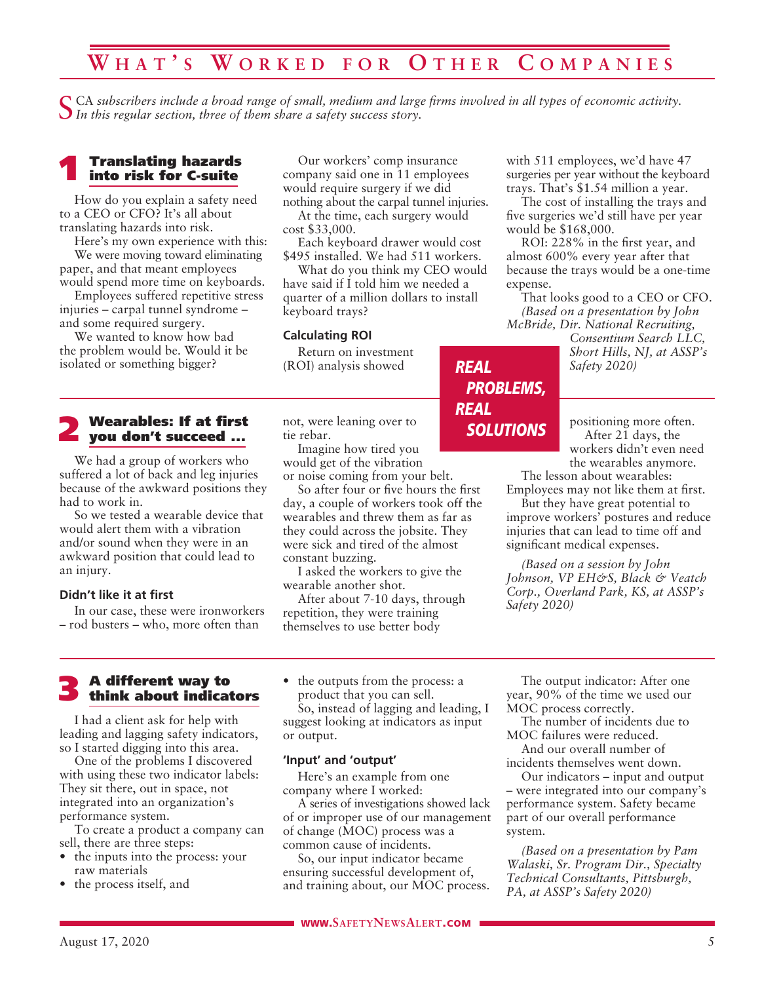# **W h a t ' s W o r k e d f o r O t h e r C o m p a n i e s**

CA subscribers include a broad range of small, medium and large firms involved in all types of economic activity. *In this regular section, three of them share a safety success story.*

### 1 Translating hazards into risk for C-suite

How do you explain a safety need to a CEO or CFO? It's all about translating hazards into risk.

Here's my own experience with this: We were moving toward eliminating paper, and that meant employees would spend more time on keyboards.

Employees suffered repetitive stress injuries – carpal tunnel syndrome – and some required surgery.

We wanted to know how bad the problem would be. Would it be isolated or something bigger?

# 2 Wearables: If at first you don't succeed ...

We had a group of workers who suffered a lot of back and leg injuries because of the awkward positions they had to work in.

So we tested a wearable device that would alert them with a vibration and/or sound when they were in an awkward position that could lead to an injury.

#### **Didn't like it at first**

In our case, these were ironworkers – rod busters – who, more often than

Our workers' comp insurance company said one in 11 employees would require surgery if we did nothing about the carpal tunnel injuries.

At the time, each surgery would cost \$33,000.

Each keyboard drawer would cost \$495 installed. We had 511 workers.

What do you think my CEO would have said if I told him we needed a quarter of a million dollars to install keyboard trays?

*REAL*

*REAL*

*PROBLEMS,*

*SOLUTIONS*

### **Calculating ROI**

Return on investment (ROI) analysis showed

not, were leaning over to tie rebar.

Imagine how tired you would get of the vibration or noise coming from your belt.

So after four or five hours the first day, a couple of workers took off the wearables and threw them as far as they could across the jobsite. They were sick and tired of the almost constant buzzing.

I asked the workers to give the wearable another shot.

After about 7-10 days, through repetition, they were training themselves to use better body

with 511 employees, we'd have 47 surgeries per year without the keyboard trays. That's \$1.54 million a year.

The cost of installing the trays and five surgeries we'd still have per year would be \$168,000.

ROI: 228% in the first year, and almost 600% every year after that because the trays would be a one-time expense.

That looks good to a CEO or CFO. *(Based on a presentation by John McBride, Dir. National Recruiting,* 

*Consentium Search LLC, Short Hills, NJ, at ASSP's Safety 2020)*

positioning more often. After 21 days, the workers didn't even need the wearables anymore.

The lesson about wearables: Employees may not like them at first.

But they have great potential to improve workers' postures and reduce injuries that can lead to time off and significant medical expenses.

*(Based on a session by John Johnson, VP EH&S, Black & Veatch Corp., Overland Park, KS, at ASSP's Safety 2020)*

# 3 A different way to think about indicators

I had a client ask for help with leading and lagging safety indicators, so I started digging into this area.

One of the problems I discovered with using these two indicator labels: They sit there, out in space, not integrated into an organization's performance system.

To create a product a company can sell, there are three steps:

- the inputs into the process: your raw materials
- the process itself, and

• the outputs from the process: a product that you can sell.

So, instead of lagging and leading, I suggest looking at indicators as input or output.

### **'Input' and 'output'**

Here's an example from one company where I worked:

A series of investigations showed lack of or improper use of our management of change (MOC) process was a common cause of incidents.

So, our input indicator became ensuring successful development of, and training about, our MOC process.

The output indicator: After one year, 90% of the time we used our MOC process correctly.

The number of incidents due to MOC failures were reduced. And our overall number of

incidents themselves went down.

Our indicators – input and output – were integrated into our company's performance system. Safety became part of our overall performance system.

*(Based on a presentation by Pam Walaski, Sr. Program Dir., Specialty Technical Consultants, Pittsburgh, PA, at ASSP's Safety 2020)*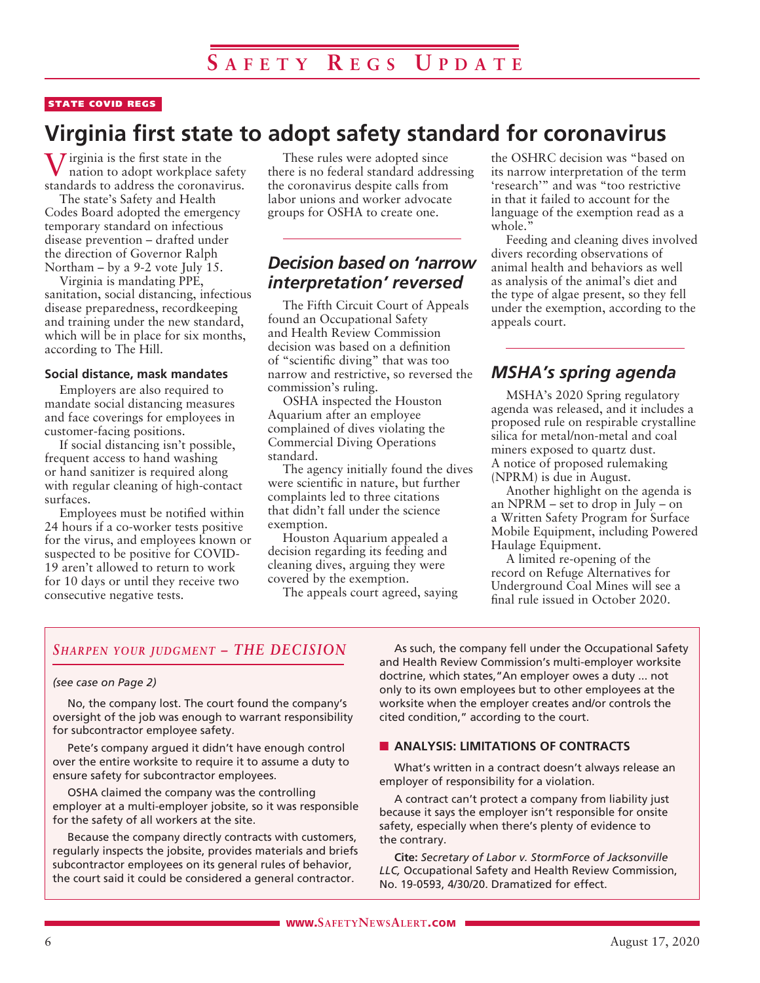### STATE COVID REGS

# **Virginia first state to adopt safety standard for coronavirus**

 $\overline{J}$  irginia is the first state in the nation to adopt workplace safety standards to address the coronavirus.

The state's Safety and Health Codes Board adopted the emergency temporary standard on infectious disease prevention – drafted under the direction of Governor Ralph Northam – by a 9-2 vote July  $15$ .

Virginia is mandating PPE, sanitation, social distancing, infectious disease preparedness, recordkeeping and training under the new standard, which will be in place for six months, according to The Hill.

### **Social distance, mask mandates**

Employers are also required to mandate social distancing measures and face coverings for employees in customer-facing positions.

If social distancing isn't possible, frequent access to hand washing or hand sanitizer is required along with regular cleaning of high-contact surfaces.

Employees must be notified within 24 hours if a co-worker tests positive for the virus, and employees known or suspected to be positive for COVID-19 aren't allowed to return to work for 10 days or until they receive two consecutive negative tests.

These rules were adopted since there is no federal standard addressing the coronavirus despite calls from labor unions and worker advocate groups for OSHA to create one.

### *Decision based on 'narrow interpretation' reversed*

The Fifth Circuit Court of Appeals found an Occupational Safety and Health Review Commission decision was based on a definition of "scientific diving" that was too narrow and restrictive, so reversed the commission's ruling.

OSHA inspected the Houston Aquarium after an employee complained of dives violating the Commercial Diving Operations standard.

The agency initially found the dives were scientific in nature, but further complaints led to three citations that didn't fall under the science exemption.

Houston Aquarium appealed a decision regarding its feeding and cleaning dives, arguing they were covered by the exemption.

The appeals court agreed, saying

the OSHRC decision was "based on its narrow interpretation of the term 'research'" and was "too restrictive in that it failed to account for the language of the exemption read as a whole."

Feeding and cleaning dives involved divers recording observations of animal health and behaviors as well as analysis of the animal's diet and the type of algae present, so they fell under the exemption, according to the appeals court.

### *MSHA's spring agenda*

MSHA's 2020 Spring regulatory agenda was released, and it includes a proposed rule on respirable crystalline silica for metal/non-metal and coal miners exposed to quartz dust. A notice of proposed rulemaking (NPRM) is due in August.

Another highlight on the agenda is an NPRM – set to drop in July – on a Written Safety Program for Surface Mobile Equipment, including Powered Haulage Equipment.

A limited re-opening of the record on Refuge Alternatives for Underground Coal Mines will see a final rule issued in October 2020.

### *Sharpen your judgment – THE DECISION*

### *(see case on Page 2)*

No, the company lost. The court found the company's oversight of the job was enough to warrant responsibility for subcontractor employee safety.

Pete's company argued it didn't have enough control over the entire worksite to require it to assume a duty to ensure safety for subcontractor employees.

OSHA claimed the company was the controlling employer at a multi-employer jobsite, so it was responsible for the safety of all workers at the site.

Because the company directly contracts with customers, regularly inspects the jobsite, provides materials and briefs subcontractor employees on its general rules of behavior, the court said it could be considered a general contractor.

As such, the company fell under the Occupational Safety and Health Review Commission's multi-employer worksite doctrine, which states,"An employer owes a duty ... not only to its own employees but to other employees at the worksite when the employer creates and/or controls the cited condition," according to the court.

### **N** ANALYSIS: LIMITATIONS OF CONTRACTS

What's written in a contract doesn't always release an employer of responsibility for a violation.

A contract can't protect a company from liability just because it says the employer isn't responsible for onsite safety, especially when there's plenty of evidence to the contrary.

**Cite:** *Secretary of Labor v. StormForce of Jacksonville LLC,* Occupational Safety and Health Review Commission, No. 19-0593, 4/30/20. Dramatized for effect.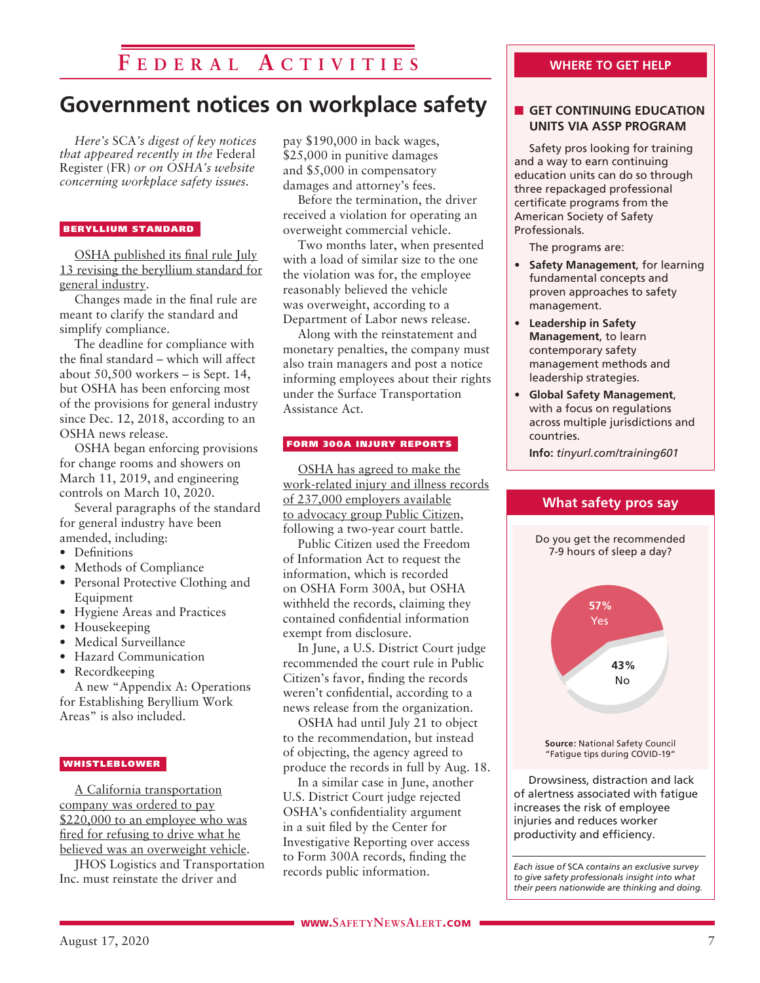# **F e d e r a l A c t i v i t i e s**

# **Government notices on workplace safety**

*Here's* SCA*'s digest of key notices that appeared recently in the* Federal Register (FR) *or on OSHA's website concerning workplace safety issues.* 

#### BERYLLIUM STANDARD

OSHA published its final rule July 13 revising the beryllium standard for general industry.

Changes made in the final rule are meant to clarify the standard and simplify compliance.

The deadline for compliance with the final standard – which will affect about 50,500 workers – is Sept. 14, but OSHA has been enforcing most of the provisions for general industry since Dec. 12, 2018, according to an OSHA news release.

OSHA began enforcing provisions for change rooms and showers on March 11, 2019, and engineering controls on March 10, 2020.

Several paragraphs of the standard for general industry have been amended, including:

- Definitions
- Methods of Compliance
- Personal Protective Clothing and Equipment
- Hygiene Areas and Practices
- Housekeeping
- Medical Surveillance
- Hazard Communication
- Recordkeeping

A new "Appendix A: Operations for Establishing Beryllium Work Areas" is also included.

### **WHISTLEBLOWER**

A California transportation company was ordered to pay \$220,000 to an employee who was fired for refusing to drive what he believed was an overweight vehicle.

JHOS Logistics and Transportation Inc. must reinstate the driver and

pay \$190,000 in back wages, \$25,000 in punitive damages and \$5,000 in compensatory damages and attorney's fees.

Before the termination, the driver received a violation for operating an overweight commercial vehicle.

Two months later, when presented with a load of similar size to the one the violation was for, the employee reasonably believed the vehicle was overweight, according to a Department of Labor news release.

Along with the reinstatement and monetary penalties, the company must also train managers and post a notice informing employees about their rights under the Surface Transportation Assistance Act.

### FORM 300A INJURY REPORTS

OSHA has agreed to make the work-related injury and illness records of 237,000 employers available to advocacy group Public Citizen, following a two-year court battle.

Public Citizen used the Freedom of Information Act to request the information, which is recorded on OSHA Form 300A, but OSHA withheld the records, claiming they contained confidential information exempt from disclosure.

In June, a U.S. District Court judge recommended the court rule in Public Citizen's favor, finding the records weren't confidential, according to a news release from the organization.

OSHA had until July 21 to object to the recommendation, but instead of objecting, the agency agreed to produce the records in full by Aug. 18.

In a similar case in June, another U.S. District Court judge rejected OSHA's confidentiality argument in a suit filed by the Center for Investigative Reporting over access to Form 300A records, finding the records public information.

### **WHERE TO GET HELP**

### **n** GET CONTINUING EDUCATION **UNITS VIA ASSP PROGRAM**

Safety pros looking for training and a way to earn continuing education units can do so through three repackaged professional certificate programs from the American Society of Safety Professionals.

The programs are:

- **Safety Management**, for learning fundamental concepts and proven approaches to safety management.
- **Leadership in Safety Management**, to learn contemporary safety management methods and leadership strategies.
- **Global Safety Management**, with a focus on regulations across multiple jurisdictions and countries.

**Info:** *tinyurl.com/training601*

**What safety pros say**



*to give safety professionals insight into what their peers nationwide are thinking and doing.*